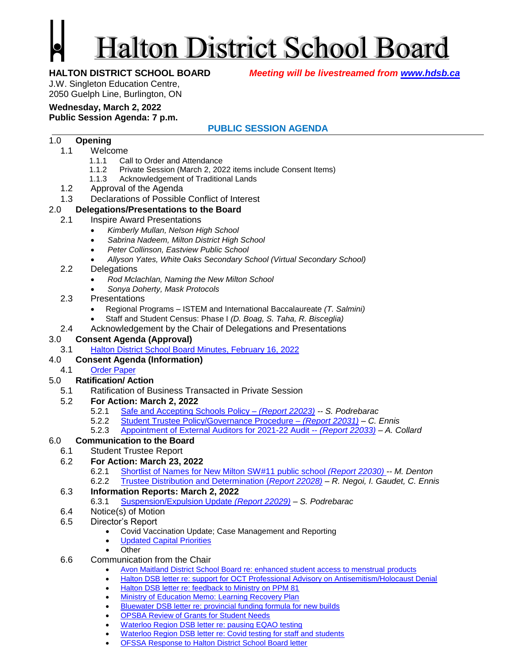# **Halton District School Board**

**HALTON DISTRICT SCHOOL BOARD** *Meeting will be livestreamed from [www.hdsb.ca](http://www.hdsb.ca/)*

J.W. Singleton Education Centre, 2050 Guelph Line, Burlington, ON

#### **Wednesday, March 2, 2022**

#### **Public Session Agenda: 7 p.m.**

### **PUBLIC SESSION AGENDA**

#### 1.0 **Opening**

- 1.1 Welcome
	- 1.1.1 Call to Order and Attendance
	- 1.1.2 Private Session (March 2, 2022 items include Consent Items)
	- 1.1.3 Acknowledgement of Traditional Lands
- 1.2 Approval of the Agenda
- 1.3 Declarations of Possible Conflict of Interest

#### 2.0 **Delegations/Presentations to the Board**

- 2.1 Inspire Award Presentations
	- *Kimberly Mullan, Nelson High School*
	- *Sabrina Nadeem, Milton District High School*
	- *Peter Collinson, Eastview Public School*
	- *Allyson Yates, White Oaks Secondary School (Virtual Secondary School)*
- 2.2 Delegations
	- *Rod Mclachlan, Naming the New Milton School*
	- *Sonya Doherty, Mask Protocols*
- 2.3 Presentations
	- Regional Programs ISTEM and International Baccalaureate *(T. Salmini)*
	- Staff and Student Census: Phase I *(D. Boag, S. Taha, R. Bisceglia)*
- 2.4 Acknowledgement by the Chair of Delegations and Presentations

#### 3.0 **Consent Agenda (Approval)**

3.1 [Halton District School Board Minutes, February 16,](https://drive.google.com/file/d/1Kz8cvmon1XLXNZJNGHot9qccId52NP1X/view?usp=sharing) 2022

#### 4.0 **Consent Agenda (Information)**

4.1 [Order Paper](https://drive.google.com/file/d/1DN9mpSt-5SdqSyWhUIC4lxL72uXTf0Ta/view?usp=sharing)

#### 5.0 **Ratification/ Action**

5.1 Ratification of Business Transacted in Private Session

#### 5.2 **For Action: March 2, 2022**

- 5.2.1 [Safe and Accepting Schools Policy –](https://drive.google.com/file/d/1zuPZJ0XbzQokGIJt5H1AD6jZYrndGl7E/view?usp=sharing) *(Report 22023) -- S. Podrebarac*
- 5.2.2 [Student Trustee Policy/Governance Procedure –](https://drive.google.com/file/d/1DoeNmJx73C4ps_42hNmstruOCDxiLIAv/view?usp=sharing) *(Report 22031) C. Ennis*
- 5.2.3 [Appointment of External Auditors for 2021-22 Audit --](https://drive.google.com/file/d/1TwNt09nVl2lXhEbXBIqpB0XwYGK2weIS/view?usp=sharing) *(Report 22033) – A. Collard*

#### 6.0 **Communication to the Board**

#### 6.1 Student Trustee Report

#### 6.2 **For Action: March 23, 2022**

- 6.2.1 [Shortlist of Names for New Milton SW#11 public school](https://drive.google.com/file/d/1WJBr2K-yAv0sLm4OUI6nkTBPsUZu87_z/view?usp=sharing) *(Report 22030) -- M. Denton*
- 6.2.2 [Trustee Distribution and Determination](https://drive.google.com/file/d/1CEb8sirpC9xTuGmk7GDMUWOz1D9STqEq/view?usp=sharing) (*Report 22028) – R. Negoi, I. Gaudet, C. Ennis*

#### 6.3 **Information Reports: March 2, 2022**

- 6.3.1 [Suspension/Expulsion Update](https://drive.google.com/file/d/14nl7C_m4iiLmXM-q_e-bYq2CixEoA1zS/view?usp=sharing) *(Report 22029) – S. Podrebarac*
- 6.4 Notice(s) of Motion
- 6.5 Director's Report
	- Covid Vaccination Update; Case Management and Reporting
	- [Updated Capital Priorities](https://docs.google.com/document/d/1ENBYcf4jV_FPS3S6ZqG3olZ9X-jbgMXyD8gHk3-u__g/edit?usp=sharing)
	- **Other**

#### 6.6 Communication from the Chair

- [Avon Maitland District School Board re: enhanced student access to menstrual](https://drive.google.com/file/d/1sAigZOEQMkIWBab9RymVy96LU6dJV_rE/view?usp=sharing) products
- [Halton DSB letter re: support for OCT Professional Advisory on Antisemitism/Holocaust Denial](https://drive.google.com/file/d/1xF2-XFH7NMUBTCWFtqVOXr-4O27YTmBp/view?usp=sharing)
- [Halton DSB letter re: feedback to Ministry on PPM 81](https://drive.google.com/file/d/1aRouEv62xndu7D7QwOK_Gm5eonEmUr5a/view?usp=sharing)
- [Ministry of Education Memo: Learning Recovery Plan](https://drive.google.com/file/d/19AnQCwTF3QjxqGkOnq81LWdE57StIDFx/view?usp=sharing)
- [Bluewater DSB letter re: provincial funding formula for new builds](https://drive.google.com/file/d/1nxVV-qSq1B_rBDHsp5gn7vXGipewwZDo/view?usp=sharing)
- [OPSBA Review of Grants for Student Needs](https://drive.google.com/file/d/1X_cyMFZ7-WfbaMiltnxqsAf4xqQg3uwJ/view?usp=sharing)
- [Waterloo Region DSB letter re: pausing EQAO testing](https://drive.google.com/file/d/14fAGxPjUcQMDIhZYLu51YM2Ys7UoQRu2/view?usp=sharing)
- [Waterloo Region DSB letter re: Covid testing for staff and students](https://drive.google.com/file/d/1ZDcnO3dyC-A0OpW9nu149F72qDqliCHU/view?usp=sharing)
- [OFSSA Response to Halton District School Board letter](https://drive.google.com/file/d/13ghDo9bIwg-b-3VYRsB-5qDFYee0LIyP/view?usp=sharing)